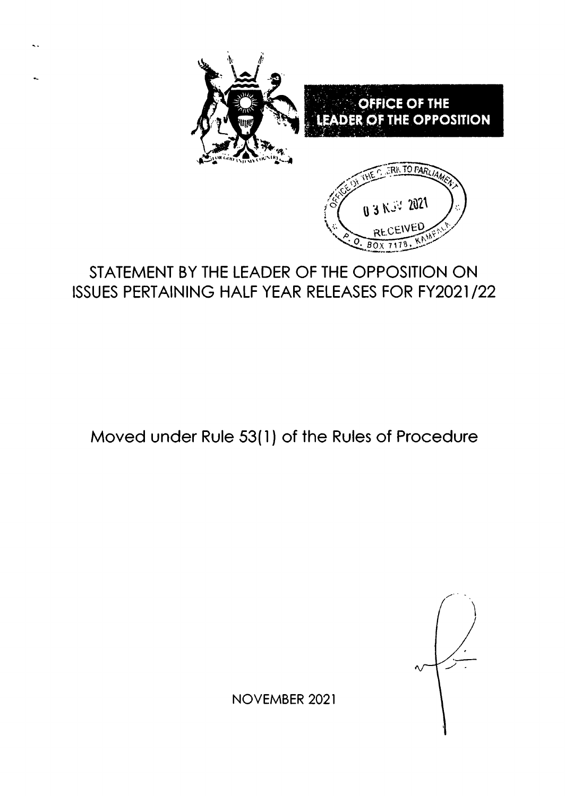

# STATEMENT BY THE LEADER OF THE OPPOSITION ON ISSUES PERTAINING HALF YEAR RELEASES FOR FY2021/22

Moved under Rule 53(l ) of the Rules of Procedure

NOVEMBER 2O2I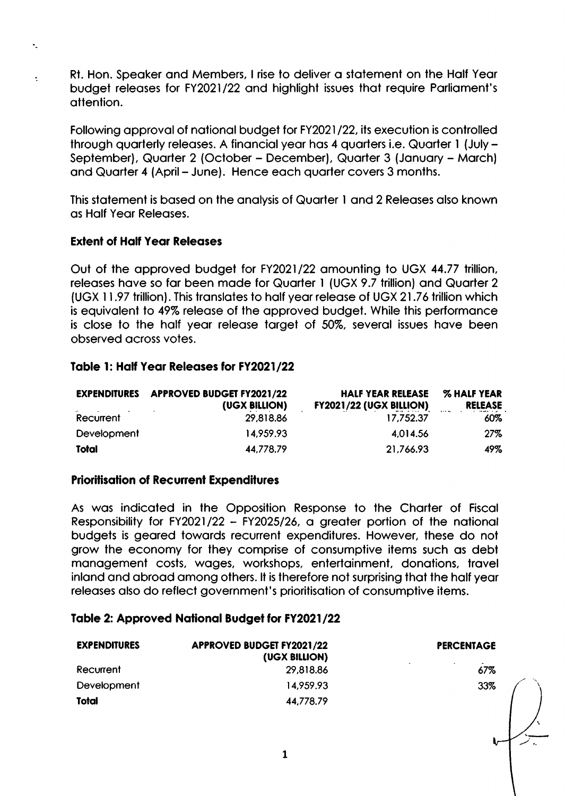Rt. Hon. Speaker and Members, I rise to deliver a statement on the Half Year budget releases for FY2021/22 and highlight issues that require Parliament's attention.

Following approval of national budget for FY2021/22, its execution is controlled through quarterly releases. A financial year has 4 quarters i.e. Quarter 1 (July -September), Quarter 2 (October - December), Quarter 3 (January - March) and Quarter 4 (April – June). Hence each quarter covers 3 months.

This statement is based on the analysis of Quarter 1 and 2 Releases also known as Half Year Releases.

#### **Extent of Half Year Releases**

 $\ddot{\phantom{1}}$ 

Out of the approved budget for FY2021/22 amounting to UGX 44.77 trillion, releases have so far been made for Quarter 1 (UGX 9.7 trillion) and Quarter 2 (UGX 11.97 trillion). This translates to half year release of UGX 21.76 trillion which is equivalent to 49% release of the approved budget. While this performance is close to the half year release target of 50%, several issues have been observed across votes.

#### Table 1: Half Year Releases for FY2021/22

| <b>EXPENDITURES</b> | <b>APPROVED BUDGET FY2021/22</b><br>(UGX BILLION) | <b>HALF YEAR RELEASE</b><br><b>FY2021/22 (UGX BILLION)</b> | <b>% HALF YEAR</b><br><b>RELEASE</b> |
|---------------------|---------------------------------------------------|------------------------------------------------------------|--------------------------------------|
| Recurrent           | 29,818.86                                         | 17.752.37                                                  | 60%                                  |
| Development         | 14,959.93                                         | 4.014.56                                                   | 27%                                  |
| Total               | 44,778.79                                         | 21,766.93                                                  | 49%                                  |

#### **Prioritisation of Recurrent Expenditures**

As was indicated in the Opposition Response to the Charter of Fiscal Responsibility for FY2021/22 - FY2025/26, a greater portion of the national budgets is geared towards recurrent expenditures. However, these do not grow the economy for they comprise of consumptive items such as debt management costs, wages, workshops, entertainment, donations, travel inland and abroad among others. It is therefore not surprising that the half year releases also do reflect government's prioritisation of consumptive items.

#### Table 2: Approved National Budget for FY2021/22

| <b>EXPENDITURES</b> | <b>APPROVED BUDGET FY2021/22</b><br>(UGX BILLION) | <b>PERCENTAGE</b>                         |  |
|---------------------|---------------------------------------------------|-------------------------------------------|--|
| Recurrent           | 29,818.86                                         | $\overline{\phantom{a}}$<br>$\sim$<br>67% |  |
| Development         | 14,959.93                                         | 33%                                       |  |
| Total               | 44,778,79                                         |                                           |  |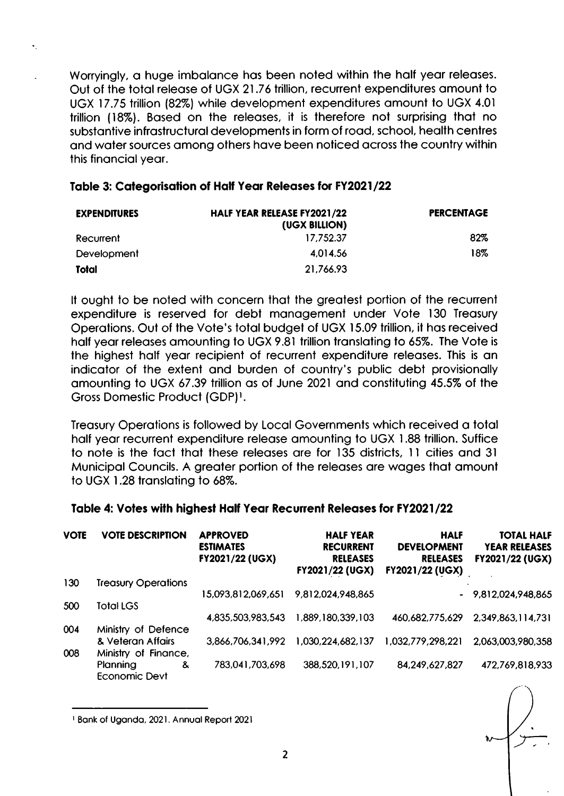Worryingly, a huge imbalance has been noted within the half year releases. Out of the total release of UGX 21.76 trillion, recurrent expenditures amount to UGX 17.75 trillion (82%) while development expenditures amount to UGX 4.01 trillion (18%). Based on the releases, it is therefore not surprising that no substantive infrastructural developments in form of road, school, health centres and water sources among others have been noticed across the country within this financial year.

#### Table 3: Categorisation of Half Year Releases for FY2021/22

| <b>EXPENDITURES</b> | HALF YEAR RELEASE FY2021/22<br>(UGX BILLION) | <b>PERCENTAGE</b> |
|---------------------|----------------------------------------------|-------------------|
| Recurrent           | 17.752.37                                    | 82%               |
| Development         | 4.014.56                                     | 18%               |
| Total               | 21,766.93                                    |                   |

It ought to be noted with concern that the greatest portion of the recurrent expenditure is reserved for debt management under Vote 130 Treasury Operations. Out of the Vote's total budget of UGX 15.09 trillion, it has received half vear releases amounting to UGX 9.81 trillion translating to 65%. The Vote is the highest half year recipient of recurrent expenditure releases. This is an indicator of the extent and burden of country's public debt provisionally amounting to UGX 67.39 trillion as of June 2021 and constituting 45.5% of the Gross Domestic Product (GDP)<sup>1</sup>.

Treasury Operations is followed by Local Governments which received a total half year recurrent expenditure release amounting to UGX 1.88 trillion. Suffice to note is the fact that these releases are for 135 districts, 11 cities and 31 Municipal Councils. A greater portion of the releases are wages that amount to UGX 1.28 translating to 68%.

# Table 4: Votes with highest Half Year Recurrent Releases for FY2021/22

| <b>VOTE</b> | <b>VOTE DESCRIPTION</b>    | <b>APPROVED</b><br><b>ESTIMATES</b><br><b>FY2021/22 (UGX)</b> | <b>HALF YEAR</b><br><b>RECURRENT</b><br><b>RELEASES</b><br><b>FY2021/22 (UGX)</b> | <b>HALF</b><br><b>DEVELOPMENT</b><br><b>RELEASES</b><br><b>FY2021/22 (UGX)</b> | <b>TOTAL HALF</b><br><b>YEAR RELEASES</b><br><b>FY2021/22 (UGX)</b> |
|-------------|----------------------------|---------------------------------------------------------------|-----------------------------------------------------------------------------------|--------------------------------------------------------------------------------|---------------------------------------------------------------------|
| 130         | <b>Treasury Operations</b> |                                                               |                                                                                   |                                                                                |                                                                     |
|             |                            | 15,093,812,069,651                                            | 9,812,024,948,865                                                                 |                                                                                | $-9,812,024,948,865$                                                |
| 500         | <b>Total LGS</b>           |                                                               |                                                                                   |                                                                                |                                                                     |
|             |                            | 4,835,503,983,543                                             | 1,889,180,339,103                                                                 | 460,682,775,629                                                                | 2,349,863,114,731                                                   |
| 004         | Ministry of Defence        |                                                               |                                                                                   |                                                                                |                                                                     |
|             | & Veteran Affairs          | 3,866,706,341,992                                             | 1,030,224,682,137                                                                 | 1,032,779,298,221                                                              | 2,063,003,980,358                                                   |
| 008         | Ministry of Finance,       |                                                               |                                                                                   |                                                                                |                                                                     |
|             | Planning<br>&              | 783,041,703,698                                               | 388,520,191,107                                                                   | 84, 249, 627, 827                                                              | 472,769,818,933                                                     |
|             | Economic Devt              |                                                               |                                                                                   |                                                                                |                                                                     |

<sup>&</sup>lt;sup>1</sup> Bank of Uganda, 2021. Annual Report 2021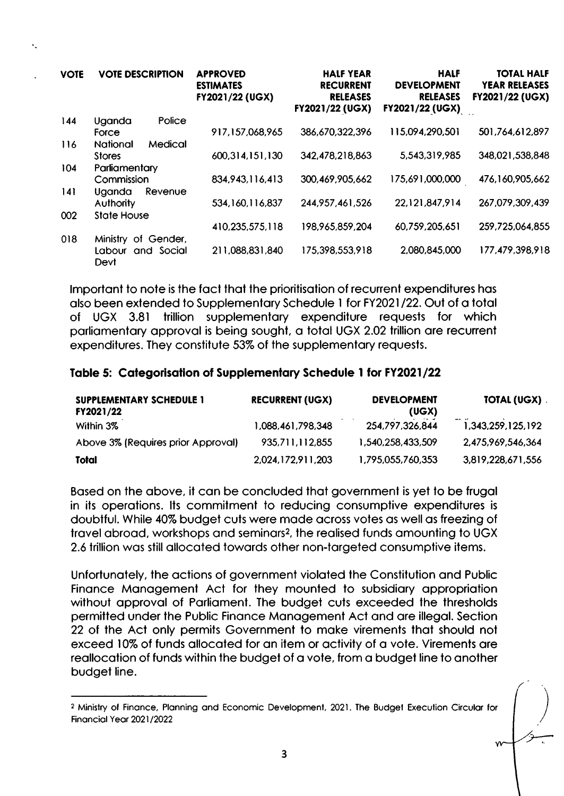| <b>VOTE</b> | <b>VOTE DESCRIPTION</b> |            | <b>APPROVED</b><br><b>ESTIMATES</b><br>FY2021/22 (UGX) | <b>HALF YEAR</b><br><b>RECURRENT</b><br><b>RELEASES</b><br>FY2021/22 (UGX) | <b>HALF</b><br><b>DEVELOPMENT</b><br><b>RELEASES</b><br><b>FY2021/22 (UGX)</b> | <b>TOTAL HALF</b><br><b>YEAR RELEASES</b><br>FY2021/22 (UGX) |
|-------------|-------------------------|------------|--------------------------------------------------------|----------------------------------------------------------------------------|--------------------------------------------------------------------------------|--------------------------------------------------------------|
| 144         | Uganda                  | Police     |                                                        |                                                                            |                                                                                |                                                              |
|             | Force                   |            | 917,157,068,965                                        | 386,670,322,396                                                            | 115,094,290,501                                                                | 501,764,612,897                                              |
| 116         | National                | Medical    |                                                        |                                                                            |                                                                                |                                                              |
|             | <b>Stores</b>           |            | 600,314,151,130                                        | 342,478,218,863                                                            | 5,543,319,985                                                                  | 348,021,538,848                                              |
| 104         | Parliamentary           |            |                                                        |                                                                            |                                                                                |                                                              |
|             | Commission              |            | 834,943,116,413                                        | 300,469,905,662                                                            | 175,691,000,000                                                                | 476,160,905,662                                              |
| 4           | Uganda                  | Revenue    |                                                        |                                                                            |                                                                                |                                                              |
|             | <b>Authority</b>        |            | 534,160,116,837                                        | 244, 957, 461, 526                                                         | 22,121,847,914                                                                 | 267,079,309,439                                              |
| 002         | <b>State House</b>      |            |                                                        |                                                                            |                                                                                |                                                              |
|             |                         |            | 410,235,575,118                                        | 198,965,859,204                                                            | 60,759,205,651                                                                 | 259,725,064,855                                              |
| 018         | Ministry of Gender,     |            |                                                        |                                                                            |                                                                                |                                                              |
|             | Labour<br>Devt          | and Social | 211,088,831,840                                        | 175,398,553,918                                                            | 2,080,845,000                                                                  | 177,479,398,918                                              |

Important to note is the fact that the prioritisation of recurrent expenditures has also been extended to Supplementary Schedule 1 for FY2021/22. Out of a total of UGX 3.81 trillion supplementary expenditure requests for which parliamentary approval is being sought, a total UGX 2.02 trillion are recurrent expenditures. They constitute 53% of the supplementary requests.

#### Table 5: Categorisation of Supplementary Schedule 1 for FY2021/22

| SUPPLEMENTARY SCHEDULE 1<br>FY2021/22 | <b>RECURRENT (UGX)</b> | <b>DEVELOPMENT</b><br>(UGX) | <b>TOTAL (UGX).</b>   |
|---------------------------------------|------------------------|-----------------------------|-----------------------|
| Within 3%                             | 1,088,461,798,348      | 254,797,326,844             | <br>1,343,259,125,192 |
| Above 3% (Requires prior Approval)    | 935,711,112,855        | 1,540,258,433,509           | 2,475,969,546,364     |
| Total                                 | 2,024,172,911,203      | 1,795,055,760,353           | 3,819,228,671,556     |

Based on the above, it can be concluded that government is yet to be frugal in its operations. Its commitment to reducing consumptive expenditures is doubtful. While 40% budget cuts were made across votes as well as freezing of travel abroad, workshops and seminars<sup>2</sup>, the realised funds amounting to UGX 2.6 trillion was still allocated towards other non-targeted consumptive items.

Unfortunately, the actions of government violated the Constitution and Public Finance Management Act for they mounted to subsidiary appropriation without approval of Parliament. The budget cuts exceeded the thresholds permitted under the Public Finance Management Act and are illegal. Section 22 of the Act only permits Government to make virements that should not exceed 10% of funds allocated for an item or activity of a vote. Virements are reallocation of funds within the budget of a vote, from a budget line to another budget line.

<sup>&</sup>lt;sup>2</sup> Ministry of Finance, Planning and Economic Development, 2021. The Budget Execution Circular for Financial Year 2021/2022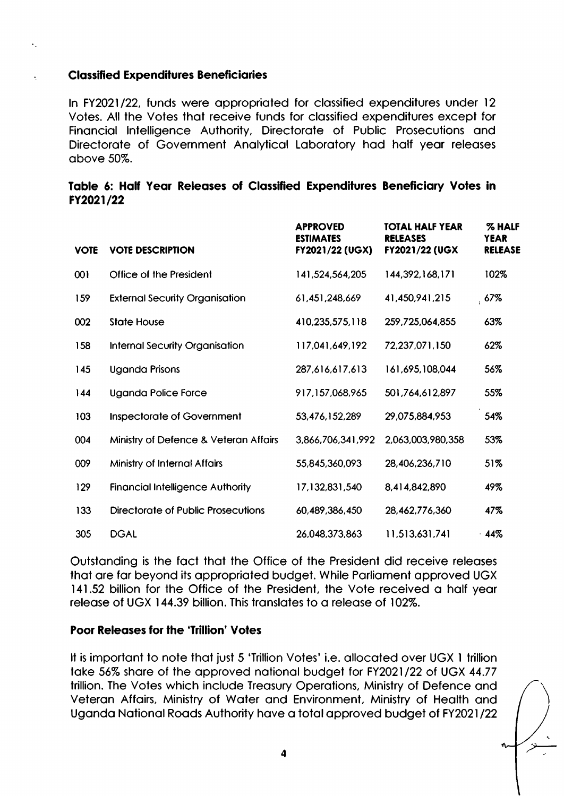#### **Classified Expenditures Beneficiaries**

 $\ddot{\phantom{0}}$ 

In FY2021/22, funds were appropriated for classified expenditures under 12 Votes. All the Votes that receive funds for classified expenditures except for Financial Intelligence Authority, Directorate of Public Prosecutions and Directorate of Government Analytical Laboratory had half year releases above 50%.

#### Table 6: Half Year Releases of Classified Expenditures Beneficiary Votes in FY2021/22

| <b>VOTE</b> | <b>VOTE DESCRIPTION</b>                 | <b>APPROVED</b><br><b>ESTIMATES</b><br>FY2021/22 (UGX) | <b>TOTAL HALF YEAR</b><br><b>RELEASES</b><br>FY2021/22 (UGX | % HALF<br><b>YEAR</b><br><b>RELEASE</b> |
|-------------|-----------------------------------------|--------------------------------------------------------|-------------------------------------------------------------|-----------------------------------------|
| 001         | <b>Office of the President</b>          | 141,524,564,205                                        | 144,392,168,171                                             | 102%                                    |
| 159         | <b>External Security Organisation</b>   | 61,451,248,669                                         | 41,450,941,215                                              | 67%                                     |
| 002         | <b>State House</b>                      | 410,235,575,118                                        | 259,725,064,855                                             | 63%                                     |
| 158         | <b>Internal Security Organisation</b>   | 117,041,649,192                                        | 72,237,071,150                                              | 62%                                     |
| 145         | <b>Uganda Prisons</b>                   | 287,616,617,613                                        | 161,695,108,044                                             | 56%                                     |
| 144         | <b>Uganda Police Force</b>              | 917,157,068,965                                        | 501,764,612,897                                             | 55%                                     |
| 103         | <b>Inspectorate of Government</b>       | 53,476,152,289                                         | 29,075,884,953                                              | 54%                                     |
| 004         | Ministry of Defence & Veteran Affairs   | 3,866,706,341,992                                      | 2,063,003,980,358                                           | 53%                                     |
| 009         | Ministry of Internal Affairs            | 55,845,360,093                                         | 28,406,236,710                                              | 51%                                     |
| 129         | <b>Financial Intelligence Authority</b> | 17,132,831,540                                         | 8,414,842,890                                               | 49%                                     |
| 133         | Directorate of Public Prosecutions      | 60,489,386,450                                         | 28,462,776,360                                              | 47%                                     |
| 305         | <b>DGAL</b>                             | 26,048,373,863                                         | 11,513,631,741                                              | 44%                                     |

Outstanding is the fact that the Office of the President did receive releases that are far beyond its appropriated budget. While Parliament approved UGX 141.52 billion for the Office of the President, the Vote received a half year release of UGX 144.39 billion. This translates to a release of 102%.

# **Poor Releases for the 'Trillion' Votes**

It is important to note that just 5 'Trillion Votes' i.e. allocated over UGX 1 trillion take 56% share of the approved national budget for FY2021/22 of UGX 44.77 trillion. The Votes which include Treasury Operations, Ministry of Defence and Veteran Affairs, Ministry of Water and Environment, Ministry of Health and Uganda National Roads Authority have a total approved budget of FY2021/22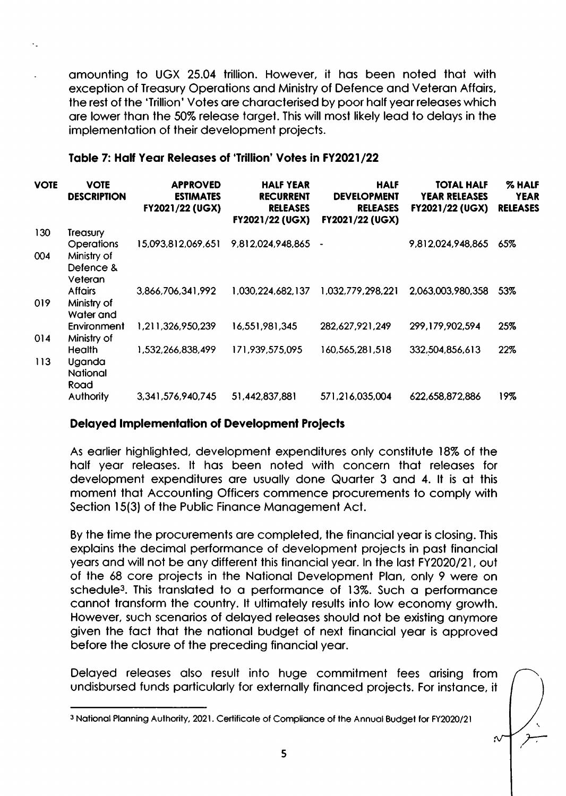amounting to UGX 25.04 trillion. However, it has been noted that with exception of Treasury Operations and Ministry of Defence and Veteran Affairs, the rest of the 'Trillion' Votes are characterised by poor half year releases which are lower than the 50% release target. This will most likely lead to delays in the implementation of their development projects.

#### Table 7: Half Year Releases of 'Trillion' Votes in FY2021/22

| <b>VOTE</b> | VOTE<br><b>DESCRIPTION</b>                 | <b>APPROVED</b><br><b>ESTIMATES</b><br>FY2021/22 (UGX) | <b>HALF YEAR</b><br><b>RECURRENT</b><br><b>RELEASES</b><br>FY2021/22 (UGX) | <b>HALF</b><br><b>DEVELOPMENT</b><br><b>RELEASES</b><br>FY2021/22 (UGX) | <b>TOTAL HALF</b><br><b>YEAR RELEASES</b><br>FY2021/22 (UGX) | % HALF<br><b>YEAR</b><br><b>RELEASES</b> |
|-------------|--------------------------------------------|--------------------------------------------------------|----------------------------------------------------------------------------|-------------------------------------------------------------------------|--------------------------------------------------------------|------------------------------------------|
| 130         | Treasury                                   |                                                        |                                                                            |                                                                         |                                                              |                                          |
| 004         | <b>Operations</b><br>Ministry of           | 15,093,812,069,651                                     | 9,812,024,948,865                                                          | $\blacksquare$                                                          | 9,812,024,948,865                                            | 65%                                      |
|             | Defence &<br>Veteran                       |                                                        |                                                                            |                                                                         |                                                              |                                          |
| 019         | <b>Affairs</b><br>Ministry of<br>Water and | 3,866,706,341,992                                      | 1,030,224,682,137                                                          | 1,032,779,298,221                                                       | 2,063,003,980,358                                            | 53%                                      |
|             | Environment                                | 1,211,326,950,239                                      | 16,551,981,345                                                             | 282,627,921,249                                                         | 299,179,902,594                                              | 25%                                      |
| 014         | Ministry of<br><b>Health</b>               | 1,532,266,838,499                                      | 171,939,575,095                                                            | 160,565,281,518                                                         | 332,504,856,613                                              | 22%                                      |
| 113         | Uganda<br>National<br>Road                 |                                                        |                                                                            |                                                                         |                                                              |                                          |
|             | <b>Authority</b>                           | 3,341,576,940,745                                      | 51,442,837,881                                                             | 571,216,035,004                                                         | 622,658,872,886                                              | 19%                                      |

# **Delayed Implementation of Development Projects**

As earlier highlighted, development expenditures only constitute 18% of the half year releases. It has been noted with concern that releases for development expenditures are usually done Quarter 3 and 4. It is at this moment that Accounting Officers commence procurements to comply with Section 15(3) of the Public Finance Management Act.

By the time the procurements are completed, the financial year is closing. This explains the decimal performance of development projects in past financial years and will not be any different this financial year. In the last FY2020/21, out of the 68 core projects in the National Development Plan, only 9 were on schedule<sup>3</sup>. This translated to a performance of 13%. Such a performance cannot transform the country. It ultimately results into low economy growth. However, such scenarios of delayed releases should not be existing anymore given the fact that the national budget of next financial year is approved before the closure of the preceding financial year.

Delayed releases also result into huge commitment fees arising from undisbursed funds particularly for externally financed projects. For instance, it

 $\sim$ 

<sup>&</sup>lt;sup>3</sup> National Planning Authority, 2021. Certificate of Compliance of the Annual Budget for FY2020/21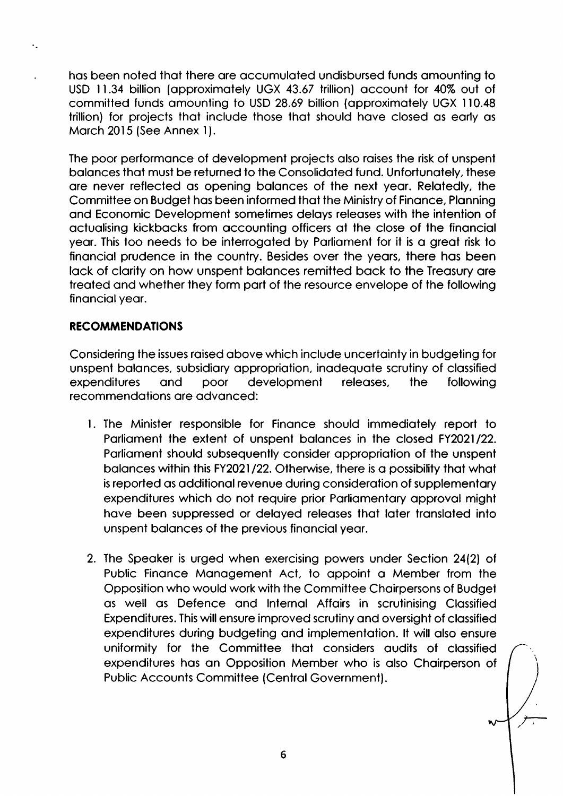has been noted that there are accumulated undisbursed funds amounting to USD 11.34 billion (approximately UGX 43.67 trillion) account for 40% out of committed funds amounting to USD 28.69 billion (approximately UGX 110.48) trillion) for projects that include those that should have closed as early as March 2015 (See Annex 1).

The poor performance of development projects also raises the risk of unspent balances that must be returned to the Consolidated fund. Unfortunately, these are never reflected as opening balances of the next year. Relatedly, the Committee on Budget has been informed that the Ministry of Finance, Planning and Economic Development sometimes delays releases with the intention of actualising kickbacks from accounting officers at the close of the financial year. This too needs to be interrogated by Parliament for it is a great risk to financial prudence in the country. Besides over the years, there has been lack of clarity on how unspent balances remitted back to the Treasury are treated and whether they form part of the resource envelope of the following financial year.

# **RECOMMENDATIONS**

Considering the issues raised above which include uncertainty in budgeting for unspent balances, subsidiary appropriation, inadequate scrutiny of classified poor expenditures development following and releases. the recommendations are advanced:

- 1. The Minister responsible for Finance should immediately report to Parliament the extent of unspent balances in the closed FY2021/22. Parliament should subsequently consider appropriation of the unspent balances within this FY2021/22. Otherwise, there is a possibility that what is reported as additional revenue during consideration of supplementary expenditures which do not require prior Parliamentary approval might have been suppressed or delayed releases that later translated into unspent balances of the previous financial year.
- 2. The Speaker is urged when exercising powers under Section 24(2) of Public Finance Management Act, to appoint a Member from the Opposition who would work with the Committee Chairpersons of Budget as well as Defence and Internal Affairs in scrutinising Classified Expenditures. This will ensure improved scrutiny and oversight of classified expenditures during budgeting and implementation. It will also ensure uniformity for the Committee that considers audits of classified expenditures has an Opposition Member who is also Chairperson of **Public Accounts Committee (Central Government).**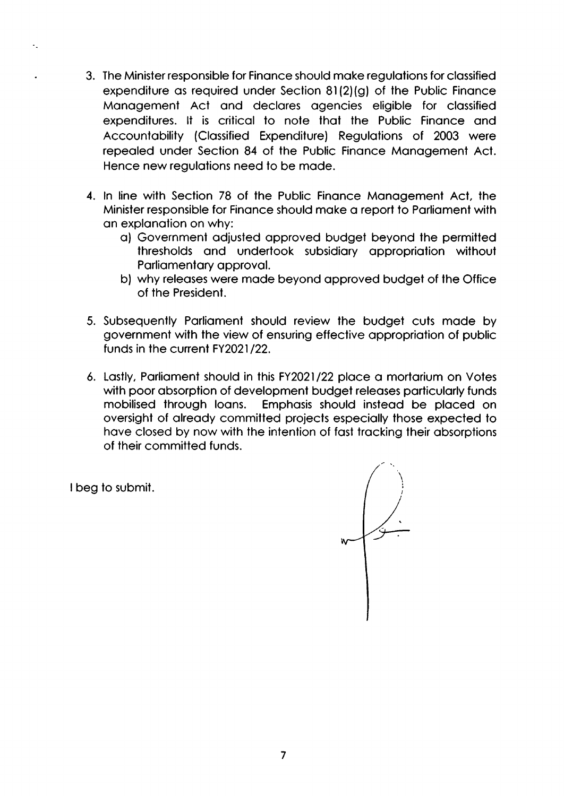- 3. The Minister responsible for Finance should make regulations for classified expenditure as required under Section 81(2)(g) of the Public Finance Management Act and declares agencies eligible for classified expenditures. It is critical to note that the Public Finance and Accountability (Classified Expenditure) Regulations of 2003 were repealed under Section 84 of the Public Finance Management Act. Hence new regulations need to be made.
- 4. In line with Section 78 of the Public Finance Management Act, the Minister responsible for Finance should make a report to Parliament with an explanation on why:
	- a) Government adjusted approved budget beyond the permitted thresholds and undertook subsidiary appropriation without Parliamentary approval.
	- b) why releases were made beyond approved budget of the Office of the President.
- 5. Subsequently Parliament should review the budget cuts made by government with the view of ensuring effective appropriation of public funds in the current FY2021/22.
- 6. Lastly, Parliament should in this FY2021/22 place a mortarium on Votes with poor absorption of development budget releases particularly funds mobilised through loans. Emphasis should instead be placed on oversight of already committed projects especially those expected to have closed by now with the intention of fast tracking their absorptions of their committed funds.

I beg to submit.

 $\ddot{\phantom{a}}$ 

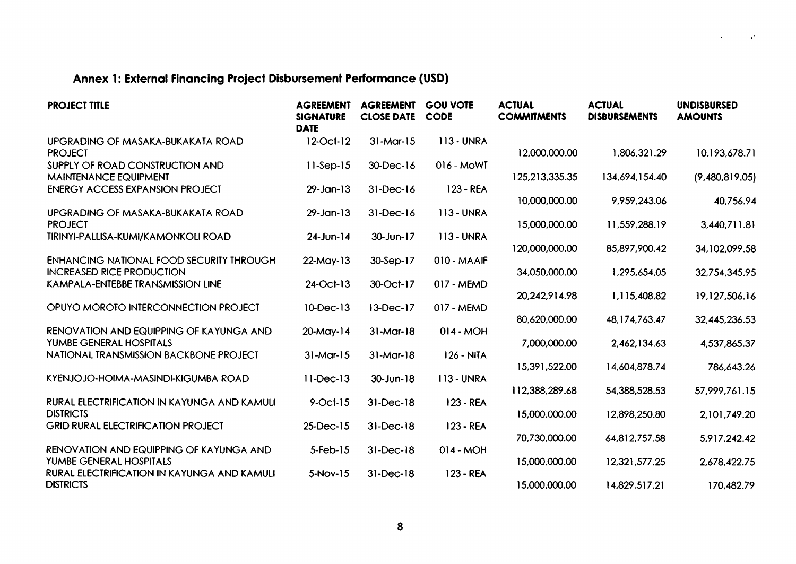# Annex 1: External Financing Project Disbursement Performance (USD)

| <b>PROJECT TITLE</b>                                                                | <b>AGREEMENT</b><br><b>SIGNATURE</b><br><b>DATE</b> | <b>AGREEMENT</b><br><b>CLOSE DATE</b> | <b>GOU VOTE</b><br><b>CODE</b> | <b>ACTUAL</b><br><b>COMMITMENTS</b> | <b>ACTUAL</b><br><b>DISBURSEMENTS</b> | <b>UNDISBURSED</b><br><b>AMOUNTS</b> |
|-------------------------------------------------------------------------------------|-----------------------------------------------------|---------------------------------------|--------------------------------|-------------------------------------|---------------------------------------|--------------------------------------|
| UPGRADING OF MASAKA-BUKAKATA ROAD<br><b>PROJECT</b>                                 | 12-Oct-12                                           | $31-Mar-15$                           | <b>113-UNRA</b>                | 12,000,000.00                       | 1,806,321.29                          | 10,193,678.71                        |
| SUPPLY OF ROAD CONSTRUCTION AND<br><b>MAINTENANCE EQUIPMENT</b>                     | $11-Sep-15$                                         | 30-Dec-16                             | 016 - MoWT                     | 125,213,335.35                      | 134,694,154.40                        | (9,480,819.05)                       |
| <b>ENERGY ACCESS EXPANSION PROJECT</b>                                              | $29 - Jan - 13$                                     | $31-Dec-16$                           | $123 - REA$                    | 10,000,000.00                       | 9,959,243.06                          | 40,756.94                            |
| UPGRADING OF MASAKA-BUKAKATA ROAD<br><b>PROJECT</b>                                 | $29$ -Jan-13                                        | $31 - Dec-16$                         | <b>113 - UNRA</b>              | 15,000,000.00                       | 11,559,288.19                         | 3,440,711.81                         |
| TIRINYI-PALLISA-KUMI/KAMONKOLI ROAD                                                 | $24$ -Jun-14                                        | 30-Jun-17                             | <b>113 - UNRA</b>              | 120,000,000.00                      | 85,897,900.42                         | 34,102,099.58                        |
| <b>ENHANCING NATIONAL FOOD SECURITY THROUGH</b><br><b>INCREASED RICE PRODUCTION</b> | $22$ -May-13                                        | 30-Sep-17                             | 010 - MAAIF                    | 34,050,000.00                       | 1,295,654.05                          | 32,754,345.95                        |
| KAMPALA-ENTEBBE TRANSMISSION LINE                                                   | 24-Oct-13                                           | 30-Oct-17                             | 017 - MEMD                     | 20,242,914.98                       | 1,115,408.82                          | 19,127,506.16                        |
| OPUYO MOROTO INTERCONNECTION PROJECT                                                | 10-Dec-13                                           | 13-Dec-17                             | 017 - MEMD                     | 80,620,000.00                       | 48,174,763.47                         | 32,445,236.53                        |
| RENOVATION AND EQUIPPING OF KAYUNGA AND<br>YUMBE GENERAL HOSPITALS                  | $20$ -May-14                                        | $31$ -Mar-18                          | $014 - MOH$                    | 7,000,000.00                        | 2,462,134.63                          | 4,537,865.37                         |
| NATIONAL TRANSMISSION BACKBONE PROJECT                                              | $31-Mar-15$                                         | $31-Mar-18$                           | 126 - NITA                     | 15,391,522.00                       | 14,604,878.74                         |                                      |
| KYENJOJO-HOIMA-MASINDI-KIGUMBA ROAD                                                 | $11-Dec-13$                                         | $30 - Jun-18$                         | <b>113 - UNRA</b>              |                                     |                                       | 786,643.26                           |
| <b>RURAL ELECTRIFICATION IN KAYUNGA AND KAMULI</b>                                  | $9$ -Oct-15                                         | $31$ -Dec- $18$                       | 123 - REA                      | 112,388,289.68                      | 54,388,528.53                         | 57,999,761.15                        |
| <b>DISTRICTS</b><br><b>GRID RURAL ELECTRIFICATION PROJECT</b>                       | $25$ -Dec-15                                        | $31-Dec-18$                           | 123 - REA                      | 15,000,000.00                       | 12,898,250.80                         | 2,101,749.20                         |
| RENOVATION AND EQUIPPING OF KAYUNGA AND                                             | $5$ -Feb-15                                         | $31-Dec-18$                           | $014 - MOH$                    | 70,730,000.00                       | 64,812,757.58                         | 5,917,242.42                         |
| YUMBE GENERAL HOSPITALS<br>RURAL ELECTRIFICATION IN KAYUNGA AND KAMULI              | $5-Nov-15$                                          | $31$ -Dec- $18$                       | 123 - REA                      | 15,000,000.00                       | 12,321,577.25                         | 2,678,422.75                         |
| <b>DISTRICTS</b>                                                                    |                                                     |                                       |                                | 15,000,000.00                       | 14,829,517.21                         | 170,482.79                           |

 $\sim 10^{11}$ 

 $\sim$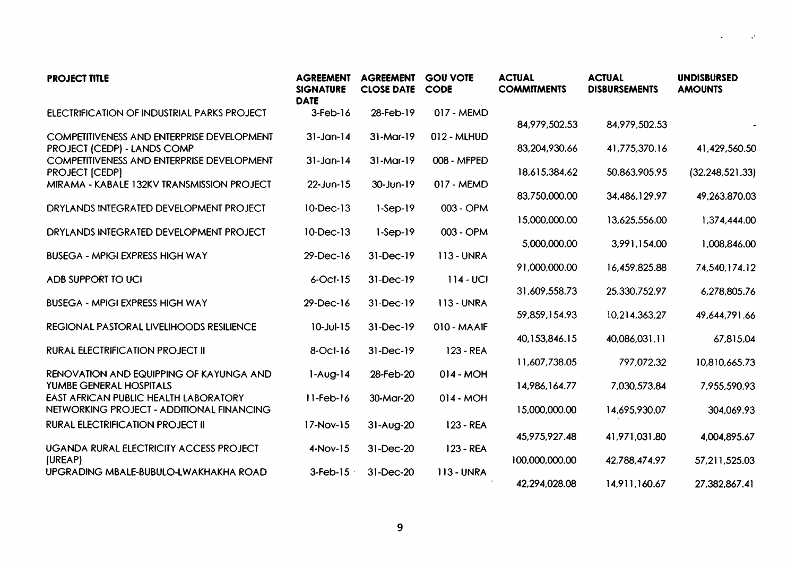| <b>PROJECT TITLE</b>                                                                                                 | <b>AGREEMENT</b><br><b>SIGNATURE</b><br><b>DATE</b> | <b>AGREEMENT</b><br><b>CLOSE DATE</b> | <b>GOU VOTE</b><br><b>CODE</b> | <b>ACTUAL</b><br><b>COMMITMENTS</b> | <b>ACTUAL</b><br><b>DISBURSEMENTS</b> | <b>UNDISBURSED</b><br><b>AMOUNTS</b> |
|----------------------------------------------------------------------------------------------------------------------|-----------------------------------------------------|---------------------------------------|--------------------------------|-------------------------------------|---------------------------------------|--------------------------------------|
| <b>ELECTRIFICATION OF INDUSTRIAL PARKS PROJECT</b>                                                                   | $3$ -Feb- $16$                                      | 28-Feb-19                             | 017 - MEMD                     | 84,979,502.53                       | 84,979,502.53                         |                                      |
| <b>COMPETITIVENESS AND ENTERPRISE DEVELOPMENT</b><br>PROJECT (CEDP) - LANDS COMP                                     | $31$ -Jan-14                                        | $31$ -Mar-19                          | 012 - MLHUD                    | 83,204,930.66                       | 41,775,370.16                         | 41,429,560.50                        |
| COMPETITIVENESS AND ENTERPRISE DEVELOPMENT<br><b>PROJECT [CEDP]</b>                                                  | $31$ -Jan-14                                        | $31-Mar-19$                           | 008 - MFPED                    | 18,615,384.62                       | 50,863,905.95                         | (32, 248, 521, 33)                   |
| MIRAMA - KABALE 132KV TRANSMISSION PROJECT                                                                           | $22$ -Jun-15                                        | 30-Jun-19                             | 017 - MEMD                     | 83,750,000.00                       | 34,486,129.97                         | 49,263,870.03                        |
| DRYLANDS INTEGRATED DEVELOPMENT PROJECT                                                                              | 10-Dec-13                                           | $1-Sep-19$                            | 003 - OPM                      | 15,000,000.00                       | 13,625,556.00                         | 1,374,444.00                         |
| DRYLANDS INTEGRATED DEVELOPMENT PROJECT                                                                              | 10-Dec-13                                           | $1-Sep-19$                            | 003 - OPM                      | 5,000,000.00                        | 3,991,154.00                          | 1,008,846.00                         |
| <b>BUSEGA - MPIGI EXPRESS HIGH WAY</b>                                                                               | $29 - Dec - 16$                                     | 31-Dec-19                             | <b>113-UNRA</b>                | 91,000,000.00                       | 16,459,825.88                         | 74,540,174.12                        |
| ADB SUPPORT TO UCI                                                                                                   | $6$ -Oct-15                                         | 31-Dec-19                             | $114 - UCI$                    | 31,609,558.73                       | 25,330,752.97                         | 6,278,805.76                         |
| <b>BUSEGA - MPIGI EXPRESS HIGH WAY</b>                                                                               | 29-Dec-16                                           | 31-Dec-19                             | <b>113 - UNRA</b>              | 59,859,154.93                       | 10,214,363.27                         | 49,644,791.66                        |
| REGIONAL PASTORAL LIVELIHOODS RESILIENCE                                                                             | $10 - Jul - 15$                                     | 31-Dec-19                             | 010 - MAAIF                    |                                     |                                       |                                      |
| <b>RURAL ELECTRIFICATION PROJECT II</b>                                                                              | $8$ -Oct- $16$                                      | $31-Dec-19$                           | 123 - REA                      | 40,153,846.15                       | 40,086,031.11                         | 67,815.04                            |
| RENOVATION AND EQUIPPING OF KAYUNGA AND                                                                              | $1-Aug-14$                                          | 28-Feb-20                             | $014 - MOH$                    | 11,607,738.05                       | 797,072.32                            | 10,810,665.73                        |
| YUMBE GENERAL HOSPITALS<br><b>EAST AFRICAN PUBLIC HEALTH LABORATORY</b><br>NETWORKING PROJECT - ADDITIONAL FINANCING | $11 - Feb - 16$                                     | 30-Mar-20                             | $014 - MOH$                    | 14,986,164.77<br>15,000,000.00      | 7,030,573.84<br>14,695,930.07         | 7,955,590.93<br>304,069.93           |
| <b>RURAL ELECTRIFICATION PROJECT II</b>                                                                              | $17-Nov-15$                                         | $31-Aug-20$                           | $123 - REA$                    |                                     |                                       |                                      |
| UGANDA RURAL ELECTRICITY ACCESS PROJECT                                                                              | $4-Nov-15$                                          | 31-Dec-20                             | 123 - REA                      | 45,975,927.48                       | 41,971,031.80                         | 4,004,895.67                         |
| (UREAP)<br>UPGRADING MBALE-BUBULO-LWAKHAKHA ROAD                                                                     | $3$ -Feb- $15$                                      | 31-Dec-20                             | <b>113 - UNRA</b>              | 100,000,000.00<br>42,294,028.08     | 42,788,474.97<br>14,911,160.67        | 57,211,525.03<br>27,382,867.41       |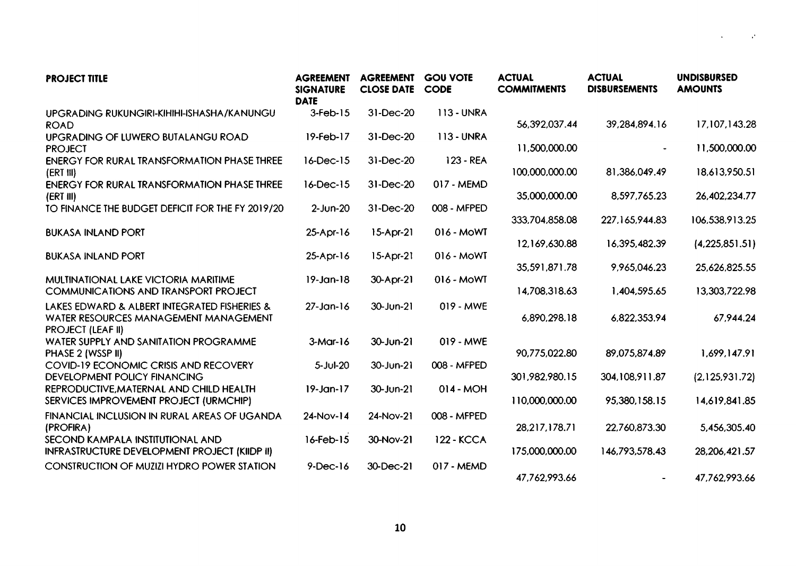| <b>PROJECT TITLE</b>                                                                                              | <b>AGREEMENT</b><br><b>SIGNATURE</b><br><b>DATE</b> | <b>AGREEMENT</b><br><b>CLOSE DATE</b> | <b>GOU VOTE</b><br><b>CODE</b> | <b>ACTUAL</b><br><b>COMMITMENTS</b> | <b>ACTUAL</b><br><b>DISBURSEMENTS</b> | <b>UNDISBURSED</b><br><b>AMOUNTS</b> |
|-------------------------------------------------------------------------------------------------------------------|-----------------------------------------------------|---------------------------------------|--------------------------------|-------------------------------------|---------------------------------------|--------------------------------------|
| UPGRADING RUKUNGIRI-KIHIHI-ISHASHA/KANUNGU<br><b>ROAD</b>                                                         | $3$ -Feb- $15$                                      | 31-Dec-20                             | <b>113 - UNRA</b>              | 56,392,037.44                       | 39,284,894.16                         | 17,107,143.28                        |
| UPGRADING OF LUWERO BUTALANGU ROAD<br><b>PROJECT</b>                                                              | $19 - Feb - 17$                                     | 31-Dec-20                             | $113 - UNRA$                   | 11,500,000.00                       |                                       | 11,500,000.00                        |
| <b>ENERGY FOR RURAL TRANSFORMATION PHASE THREE</b><br>(ERT III)                                                   | $16$ -Dec- $15$                                     | 31-Dec-20                             | $123 - REA$                    | 100,000,000.00                      | 81,386,049.49                         | 18,613,950.51                        |
| <b>ENERGY FOR RURAL TRANSFORMATION PHASE THREE</b><br>(ERT III)                                                   | $16$ -Dec- $15$                                     | 31-Dec-20                             | 017 - MEMD                     | 35,000,000.00                       | 8,597,765.23                          | 26,402,234.77                        |
| TO FINANCE THE BUDGET DEFICIT FOR THE FY 2019/20                                                                  | $2$ -Jun-20                                         | 31-Dec-20                             | 008 - MFPED                    | 333,704,858.08                      | 227,165,944.83                        | 106,538,913.25                       |
| <b>BUKASA INLAND PORT</b>                                                                                         | $25-Apr-16$                                         | $15-Apr-21$                           | $016 - MOWT$                   | 12,169,630.88                       | 16,395,482.39                         | (4,225,851.51)                       |
| <b>BUKASA INLAND PORT</b>                                                                                         | $25-Apr-16$                                         | $15-Apr-21$                           | 016 - MOWT                     | 35,591,871.78                       | 9,965,046.23                          | 25,626,825.55                        |
| MULTINATIONAL LAKE VICTORIA MARITIME<br><b>COMMUNICATIONS AND TRANSPORT PROJECT</b>                               | $19 - Jan-18$                                       | $30-Apr-21$                           | 016 - MoWT                     | 14,708,318.63                       | 1,404,595.65                          | 13,303,722.98                        |
| LAKES EDWARD & ALBERT INTEGRATED FISHERIES &<br>WATER RESOURCES MANAGEMENT MANAGEMENT<br><b>PROJECT (LEAF II)</b> | $27$ -Jan-16                                        | 30-Jun-21                             | 019 - MWE                      | 6,890,298.18                        | 6,822,353.94                          | 67,944.24                            |
| WATER SUPPLY AND SANITATION PROGRAMME<br>PHASE 2 (WSSP II)                                                        | $3-Mar-16$                                          | $30 - Jun-21$                         | 019 - MWE                      | 90,775,022.80                       | 89,075,874.89                         | 1.699.147.91                         |
| <b>COVID-19 ECONOMIC CRISIS AND RECOVERY</b><br>DEVELOPMENT POLICY FINANCING                                      | $5 - Jul - 20$                                      | $30 - Jun-21$                         | 008 - MFPED                    | 301,982,980.15                      | 304,108,911.87                        | (2,125,931.72)                       |
| REPRODUCTIVE, MATERNAL AND CHILD HEALTH<br>SERVICES IMPROVEMENT PROJECT (URMCHIP)                                 | $19$ -Jan-17                                        | 30-Jun-21                             | $014 - MOH$                    | 110,000,000.00                      | 95,380,158.15                         | 14,619,841.85                        |
| FINANCIAL INCLUSION IN RURAL AREAS OF UGANDA<br>(PROFIRA)                                                         | $24-Nov-14$                                         | 24-Nov-21                             | 008 - MFPED                    | 28,217,178.71                       | 22,760,873.30                         | 5,456,305.40                         |
| SECOND KAMPALA INSTITUTIONAL AND<br><b>INFRASTRUCTURE DEVELOPMENT PROJECT (KIIDP II)</b>                          | $16$ -Feb- $15$                                     | 30-Nov-21                             | <b>122 - KCCA</b>              | 175,000,000.00                      | 146,793,578.43                        | 28, 206, 421.57                      |
| <b>CONSTRUCTION OF MUZIZI HYDRO POWER STATION</b>                                                                 | $9$ -Dec-16                                         | 30-Dec-21                             | 017 - MEMD                     | 47,762,993.66                       |                                       | 47,762,993.66                        |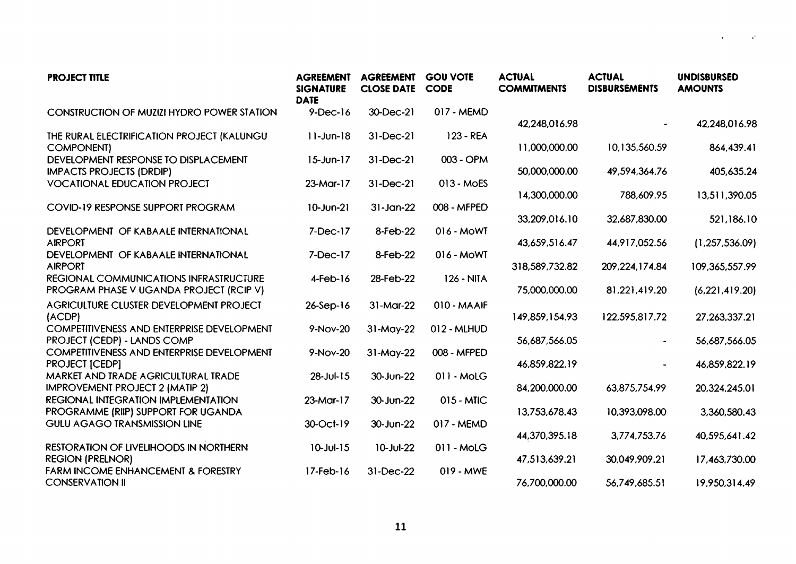| <b>PROJECT TITLE</b>                                                              | <b>AGREEMENT</b><br><b>SIGNATURE</b><br><b>DATE</b> | <b>AGREEMENT</b><br><b>CLOSE DATE</b> | <b>GOU VOTE</b><br><b>CODE</b> | <b>ACTUAL</b><br><b>COMMITMENTS</b> | <b>ACTUAL</b><br><b>DISBURSEMENTS</b> | <b>UNDISBURSED</b><br><b>AMOUNTS</b> |
|-----------------------------------------------------------------------------------|-----------------------------------------------------|---------------------------------------|--------------------------------|-------------------------------------|---------------------------------------|--------------------------------------|
| <b>CONSTRUCTION OF MUZIZI HYDRO POWER STATION</b>                                 | $9$ -Dec-16                                         | 30-Dec-21                             | 017 - MEMD                     | 42,248,016.98                       |                                       | 42,248,016.98                        |
| THE RURAL ELECTRIFICATION PROJECT (KALUNGU<br><b>COMPONENT)</b>                   | $11$ -Jun-18                                        | $31-Dec-21$                           | $123 - REA$                    | 11,000,000.00                       | 10,135,560.59                         | 864,439.41                           |
| DEVELOPMENT RESPONSE TO DISPLACEMENT<br><b>IMPACTS PROJECTS (DRDIP)</b>           | $15$ -Jun-17                                        | 31-Dec-21                             | 003 - OPM                      | 50,000,000.00                       | 49,594,364.76                         | 405,635.24                           |
| <b>VOCATIONAL EDUCATION PROJECT</b>                                               | $23$ -Mar-17                                        | 31-Dec-21                             | 013 - MoES                     | 14,300,000.00                       | 788,609.95                            | 13,511,390.05                        |
| COVID-19 RESPONSE SUPPORT PROGRAM                                                 | $10 - J$ un $-21$                                   | $31-Jan-22$                           | 008 - MFPED                    | 33,209,016.10                       | 32,687,830.00                         | 521,186.10                           |
| DEVELOPMENT OF KABAALE INTERNATIONAL<br><b>AIRPORT</b>                            | $7 - Dec-17$                                        | 8-Feb-22                              | 016 - MOWT                     | 43,659,516.47                       | 44,917,052.56                         | (1,257,536.09)                       |
| DEVELOPMENT OF KABAALE INTERNATIONAL<br><b>AIRPORT</b>                            | $7-Dec-17$                                          | 8-Feb-22                              | 016 - MoWT                     | 318,589,732.82                      | 209, 224, 174.84                      | 109,365,557.99                       |
| REGIONAL COMMUNICATIONS INFRASTRUCTURE<br>PROGRAM PHASE V UGANDA PROJECT (RCIP V) | $4$ -Feb- $16$                                      | 28-Feb-22                             | <b>126 - NITA</b>              | 75,000,000.00                       | 81,221,419.20                         | (6, 221, 419.20)                     |
| AGRICULTURE CLUSTER DEVELOPMENT PROJECT<br>(ACDP)                                 | $26-Sep-16$                                         | 31-Mar-22                             | 010 - MAAIF                    | 149,859,154.93                      | 122,595,817.72                        | 27,263,337.21                        |
| COMPETITIVENESS AND ENTERPRISE DEVELOPMENT<br>PROJECT (CEDP) - LANDS COMP         | 9-Nov-20                                            | 31-May-22                             | 012 - MLHUD                    | 56,687,566.05                       |                                       | 56,687,566.05                        |
| <b>COMPETITIVENESS AND ENTERPRISE DEVELOPMENT</b><br><b>PROJECT [CEDP]</b>        | 9-Nov-20                                            | 31-May-22                             | 008 - MFPED                    | 46,859,822.19                       |                                       | 46,859,822.19                        |
| MARKET AND TRADE AGRICULTURAL TRADE<br><b>IMPROVEMENT PROJECT 2 (MATIP 2)</b>     | 28-Jul-15                                           | 30-Jun-22                             | $011 - MOLG$                   | 84,200,000.00                       | 63,875,754.99                         | 20,324,245.01                        |
| REGIONAL INTEGRATION IMPLEMENTATION<br>PROGRAMME (RIIP) SUPPORT FOR UGANDA        | $23-Mar-17$                                         | 30-Jun-22                             | $015 - MIC$                    | 13,753,678.43                       | 10,393,098.00                         | 3,360,580.43                         |
| <b>GULU AGAGO TRANSMISSION LINE</b>                                               | 30-Oct-19                                           | 30-Jun-22                             | 017 - MEMD                     | 44,370,395.18                       | 3,774,753.76                          | 40,595,641.42                        |
| RESTORATION OF LIVELIHOODS IN NORTHERN<br><b>REGION (PRELNOR)</b>                 | $10 -$ Jul-15                                       | $10 - Jul-22$                         | $011 - MOLG$                   | 47,513,639.21                       | 30,049,909.21                         | 17,463,730.00                        |
| <b>FARM INCOME ENHANCEMENT &amp; FORESTRY</b><br><b>CONSERVATION II</b>           | $17$ -Feb- $16$                                     | 31-Dec-22                             | 019 - MWE                      | 76,700,000.00                       | 56,749,685.51                         | 19,950,314.49                        |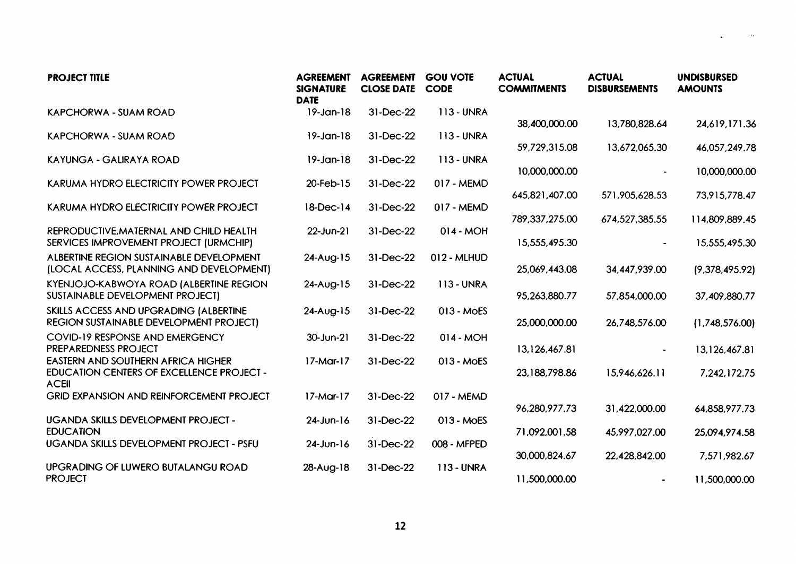| <b>PROJECT TITLE</b>                                                                                   | <b>AGREEMENT</b><br><b>SIGNATURE</b><br><b>DATE</b> | <b>AGREEMENT</b><br><b>CLOSE DATE</b> | <b>GOU VOTE</b><br><b>CODE</b> | <b>ACTUAL</b><br><b>COMMITMENTS</b> | <b>ACTUAL</b><br><b>DISBURSEMENTS</b> | <b>UNDISBURSED</b><br><b>AMOUNTS</b> |
|--------------------------------------------------------------------------------------------------------|-----------------------------------------------------|---------------------------------------|--------------------------------|-------------------------------------|---------------------------------------|--------------------------------------|
| KAPCHORWA - SUAM ROAD                                                                                  | $19 - Jan-18$                                       | 31-Dec-22                             | <b>113 - UNRA</b>              |                                     |                                       |                                      |
| <b>KAPCHORWA - SUAM ROAD</b>                                                                           | $19 - Jan-18$                                       | 31-Dec-22                             | <b>113 - UNRA</b>              | 38,400,000.00                       | 13,780,828.64                         | 24,619,171.36                        |
| KAYUNGA - GALIRAYA ROAD                                                                                | $19$ -Jan-18                                        | 31-Dec-22                             | <b>113 - UNRA</b>              | 59,729,315.08<br>10,000,000.00      | 13,672,065.30                         | 46,057,249.78<br>10,000,000.00       |
| KARUMA HYDRO ELECTRICITY POWER PROJECT                                                                 | 20-Feb-15                                           | 31-Dec-22                             | 017 - MEMD                     | 645,821,407.00                      | 571,905,628.53                        | 73,915,778.47                        |
| KARUMA HYDRO ELECTRICITY POWER PROJECT                                                                 | $18-Dec-14$                                         | 31-Dec-22                             | 017 - MEMD                     | 789, 337, 275.00                    | 674,527,385.55                        | 114,809,889.45                       |
| REPRODUCTIVE, MATERNAL AND CHILD HEALTH<br>SERVICES IMPROVEMENT PROJECT (URMCHIP)                      | $22$ -Jun-21                                        | 31-Dec-22                             | $014 - MOH$                    | 15,555,495.30                       |                                       | 15,555,495.30                        |
| ALBERTINE REGION SUSTAINABLE DEVELOPMENT<br>(LOCAL ACCESS, PLANNING AND DEVELOPMENT)                   | $24-Aug-15$                                         | 31-Dec-22                             | 012 - MLHUD                    | 25,069,443.08                       | 34,447,939.00                         | (9,378,495.92)                       |
| KYENJOJO-KABWOYA ROAD (ALBERTINE REGION<br>SUSTAINABLE DEVELOPMENT PROJECT)                            | 24-Aug-15                                           | 31-Dec-22                             | <b>113 - UNRA</b>              | 95,263,880.77                       | 57,854,000.00                         | 37,409,880.77                        |
| SKILLS ACCESS AND UPGRADING (ALBERTINE<br>REGION SUSTAINABLE DEVELOPMENT PROJECT)                      | $24-Aug-15$                                         | 31-Dec-22                             | 013 - MOES                     | 25,000,000.00                       | 26,748,576.00                         | (1,748,576.00)                       |
| COVID-19 RESPONSE AND EMERGENCY<br>PREPAREDNESS PROJECT                                                | $30 - Jun-21$                                       | 31-Dec-22                             | $014 - MOH$                    | 13,126,467.81                       | $\blacksquare$                        | 13,126,467.81                        |
| EASTERN AND SOUTHERN AFRICA HIGHER<br><b>EDUCATION CENTERS OF EXCELLENCE PROJECT -</b><br><b>ACEII</b> | $17-Mar-17$                                         | 31-Dec-22                             | 013 - MOES                     | 23,188,798.86                       | 15,946,626.11                         | 7,242,172.75                         |
| <b>GRID EXPANSION AND REINFORCEMENT PROJECT</b>                                                        | $17-Mar-17$                                         | 31-Dec-22                             | 017 - MEMD                     | 96,280,977.73                       | 31,422,000.00                         | 64,858,977.73                        |
| UGANDA SKILLS DEVELOPMENT PROJECT -<br><b>EDUCATION</b>                                                | $24$ -Jun-16                                        | 31-Dec-22                             | 013 - MOES                     | 71,092,001.58                       | 45,997,027.00                         | 25,094,974.58                        |
| UGANDA SKILLS DEVELOPMENT PROJECT - PSFU                                                               | $24$ -Jun-16                                        | 31-Dec-22                             | 008 - MFPED                    | 30,000,824.67                       | 22,428,842.00                         | 7,571,982.67                         |
| UPGRADING OF LUWERO BUTALANGU ROAD<br><b>PROJECT</b>                                                   | $28-Aug-18$                                         | 31-Dec-22                             | 113 - UNRA                     | 11,500,000.00                       |                                       | 11,500,000.00                        |

 $\rightarrow$ 

 $\bullet$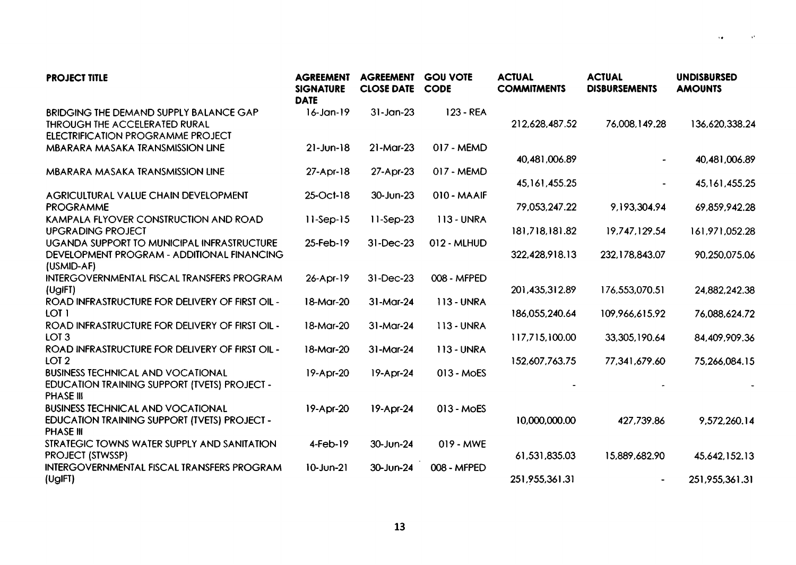| <b>PROJECT TITLE</b>                                                                                                       | <b>AGREEMENT</b><br><b>SIGNATURE</b><br><b>DATE</b> | <b>AGREEMENT</b><br><b>CLOSE DATE</b> | <b>GOU VOTE</b><br><b>CODE</b> | <b>ACTUAL</b><br><b>COMMITMENTS</b> | <b>ACTUAL</b><br><b>DISBURSEMENTS</b> | <b>UNDISBURSED</b><br><b>AMOUNTS</b> |
|----------------------------------------------------------------------------------------------------------------------------|-----------------------------------------------------|---------------------------------------|--------------------------------|-------------------------------------|---------------------------------------|--------------------------------------|
| BRIDGING THE DEMAND SUPPLY BALANCE GAP<br><b>THROUGH THE ACCELERATED RURAL</b><br><b>ELECTRIFICATION PROGRAMME PROJECT</b> | $16 - Jan - 19$                                     | $31-Jan-23$                           | $123 - REA$                    | 212,628,487.52                      | 76,008,149.28                         | 136,620,338.24                       |
| MBARARA MASAKA TRANSMISSION LINE                                                                                           | $21 - Jun-18$                                       | $21$ -Mar-23                          | 017 - MEMD                     | 40,481,006.89                       |                                       | 40,481,006.89                        |
| MBARARA MASAKA TRANSMISSION LINE                                                                                           | $27-Apr-18$                                         | 27-Apr-23                             | 017 - MEMD                     | 45, 161, 455.25                     |                                       | 45,161,455.25                        |
| AGRICULTURAL VALUE CHAIN DEVELOPMENT<br><b>PROGRAMME</b>                                                                   | 25-Oct-18                                           | 30-Jun-23                             | $010 - MAAIF$                  | 79,053,247.22                       | 9,193,304.94                          | 69,859,942.28                        |
| KAMPALA FLYOVER CONSTRUCTION AND ROAD<br><b>UPGRADING PROJECT</b>                                                          | $11-Sep-15$                                         | $11-Sep-23$                           | <b>113-UNRA</b>                | 181,718,181.82                      | 19,747,129.54                         | 161,971,052.28                       |
| UGANDA SUPPORT TO MUNICIPAL INFRASTRUCTURE<br>DEVELOPMENT PROGRAM - ADDITIONAL FINANCING<br>(USMID-AF)                     | 25-Feb-19                                           | 31-Dec-23                             | 012 - MLHUD                    | 322,428,918.13                      | 232,178,843.07                        | 90.250.075.06                        |
| <b>INTERGOVERNMENTAL FISCAL TRANSFERS PROGRAM</b><br>(UgIFT)                                                               | $26 - Apr - 19$                                     | 31-Dec-23                             | 008 - MFPED                    | 201,435,312.89                      | 176,553,070.51                        | 24,882,242.38                        |
| ROAD INFRASTRUCTURE FOR DELIVERY OF FIRST OIL -<br>LOT 1                                                                   | 18-Mar-20                                           | 31-Mar-24                             | <b>113-UNRA</b>                | 186,055,240.64                      | 109,966,615.92                        | 76,088,624.72                        |
| ROAD INFRASTRUCTURE FOR DELIVERY OF FIRST OIL -<br>LOT <sub>3</sub>                                                        | 18-Mar-20                                           | 31-Mar-24                             | <b>113 - UNRA</b>              | 117,715,100.00                      | 33,305,190.64                         | 84,409,909.36                        |
| ROAD INFRASTRUCTURE FOR DELIVERY OF FIRST OIL -<br>LOT <sub>2</sub>                                                        | 18-Mar-20                                           | 31-Mar-24                             | <b>113 - UNRA</b>              | 152,607,763.75                      | 77,341,679.60                         | 75,266,084.15                        |
| <b>BUSINESS TECHNICAL AND VOCATIONAL</b><br>EDUCATION TRAINING SUPPORT (TVETS) PROJECT -<br>PHASE III                      | $19-Apr-20$                                         | 19-Apr-24                             | 013 - MOES                     |                                     |                                       |                                      |
| <b>BUSINESS TECHNICAL AND VOCATIONAL</b><br><b>EDUCATION TRAINING SUPPORT (TVETS) PROJECT -</b><br><b>PHASE III</b>        | $19-Apr-20$                                         | $19-Apr-24$                           | 013 - MOES                     | 10,000,000.00                       | 427,739.86                            | 9,572,260.14                         |
| STRATEGIC TOWNS WATER SUPPLY AND SANITATION<br><b>PROJECT (STWSSP)</b>                                                     | $4-Feb-19$                                          | 30-Jun-24                             | 019 - MWE                      | 61,531,835.03                       | 15,889,682.90                         | 45,642,152.13                        |
| <b>INTERGOVERNMENTAL FISCAL TRANSFERS PROGRAM</b><br>(UgIFT)                                                               | $10 - Jun-21$                                       | 30-Jun-24                             | 008 - MFPED                    | 251,955,361.31                      |                                       | 251,955,361.31                       |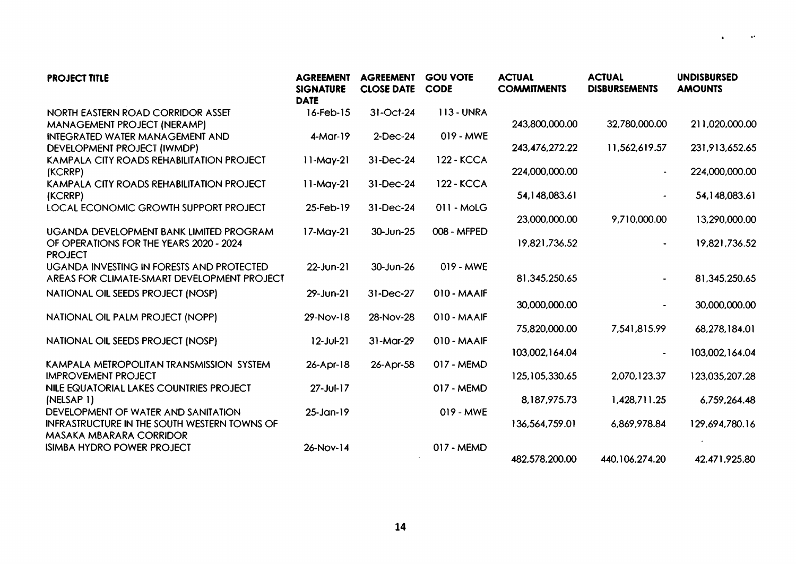| <b>PROJECT TITLE</b>                                                                                 | <b>AGREEMENT</b><br><b>SIGNATURE</b><br><b>DATE</b> | <b>AGREEMENT</b><br><b>CLOSE DATE</b> | <b>GOU VOTE</b><br><b>CODE</b> | <b>ACTUAL</b><br><b>COMMITMENTS</b> | <b>ACTUAL</b><br><b>DISBURSEMENTS</b> | <b>UNDISBURSED</b><br><b>AMOUNTS</b> |
|------------------------------------------------------------------------------------------------------|-----------------------------------------------------|---------------------------------------|--------------------------------|-------------------------------------|---------------------------------------|--------------------------------------|
| NORTH EASTERN ROAD CORRIDOR ASSET                                                                    | $16$ -Feb- $15$                                     | 31-Oct-24                             | <b>113 - UNRA</b>              |                                     |                                       |                                      |
| MANAGEMENT PROJECT (NERAMP)                                                                          |                                                     |                                       |                                | 243,800,000.00                      | 32,780,000.00                         | 211,020,000.00                       |
| <b>INTEGRATED WATER MANAGEMENT AND</b><br>DEVELOPMENT PROJECT (IWMDP)                                | $4-Mar-19$                                          | 2-Dec-24                              | 019 - MWE                      | 243,476,272.22                      | 11,562,619.57                         | 231,913,652.65                       |
| KAMPALA CITY ROADS REHABILITATION PROJECT<br>(KCRRP)                                                 | $11-May-21$                                         | 31-Dec-24                             | <b>122 - KCCA</b>              | 224,000,000.00                      |                                       | 224,000,000.00                       |
| KAMPALA CITY ROADS REHABILITATION PROJECT<br>(KCRRP)                                                 | $11-May-21$                                         | 31-Dec-24                             | <b>122 - KCCA</b>              | 54,148,083.61                       |                                       | 54,148,083.61                        |
| LOCAL ECONOMIC GROWTH SUPPORT PROJECT                                                                | 25-Feb-19                                           | 31-Dec-24                             | 011 - MoLG                     |                                     |                                       |                                      |
|                                                                                                      |                                                     |                                       |                                | 23,000,000.00                       | 9,710,000.00                          | 13,290,000.00                        |
| UGANDA DEVELOPMENT BANK LIMITED PROGRAM<br>OF OPERATIONS FOR THE YEARS 2020 - 2024<br><b>PROJECT</b> | $17-May-21$                                         | 30-Jun-25                             | 008 - MFPED                    | 19,821,736.52                       |                                       | 19,821,736.52                        |
| <b>UGANDA INVESTING IN FORESTS AND PROTECTED</b><br>AREAS FOR CLIMATE-SMART DEVELOPMENT PROJECT      | 22-Jun-21                                           | 30-Jun-26                             | 019 - MWE                      | 81,345,250.65                       |                                       | 81,345,250.65                        |
| NATIONAL OIL SEEDS PROJECT (NOSP)                                                                    | $29$ -Jun-21                                        | 31-Dec-27                             | 010 - MAAIF                    |                                     |                                       |                                      |
|                                                                                                      |                                                     |                                       |                                | 30,000,000.00                       |                                       | 30,000,000.00                        |
| NATIONAL OIL PALM PROJECT (NOPP)                                                                     | $29-Nov-18$                                         | 28-Nov-28                             | 010 - MAAIF                    | 75,820,000.00                       | 7,541,815.99                          | 68,278,184.01                        |
| NATIONAL OIL SEEDS PROJECT (NOSP)                                                                    | $12 - JU - 21$                                      | 31-Mar-29                             | 010 - MAAIF                    | 103,002,164.04                      |                                       | 103,002,164.04                       |
| KAMPALA METROPOLITAN TRANSMISSION SYSTEM                                                             | $26 - Apr - 18$                                     | 26-Apr-58                             | 017 - MEMD                     |                                     |                                       |                                      |
| <b>IMPROVEMENT PROJECT</b>                                                                           |                                                     |                                       |                                | 125,105,330.65                      | 2,070,123.37                          | 123,035,207.28                       |
| NILE EQUATORIAL LAKES COUNTRIES PROJECT<br>(NELSAP 1)                                                | $27 - Jul - 17$                                     |                                       | 017 - MEMD                     | 8,187,975.73                        | 1,428,711.25                          | 6,759,264.48                         |
| DEVELOPMENT OF WATER AND SANITATION                                                                  | $25 - Jan - 19$                                     |                                       | 019 - MWE                      |                                     |                                       |                                      |
| <b>INFRASTRUCTURE IN THE SOUTH WESTERN TOWNS OF</b><br>MASAKA MBARARA CORRIDOR                       |                                                     |                                       |                                | 136,564,759.01                      | 6,869,978.84                          | 129,694,780.16                       |
| <b>ISIMBA HYDRO POWER PROJECT</b>                                                                    | $26-Nov-14$                                         |                                       | 017 - MEMD                     |                                     |                                       |                                      |
|                                                                                                      |                                                     |                                       |                                | 482,578,200.00                      | 440, 106, 274. 20                     | 42,471,925.80                        |

 $\ddot{\phantom{1}}$ 

 $\bullet$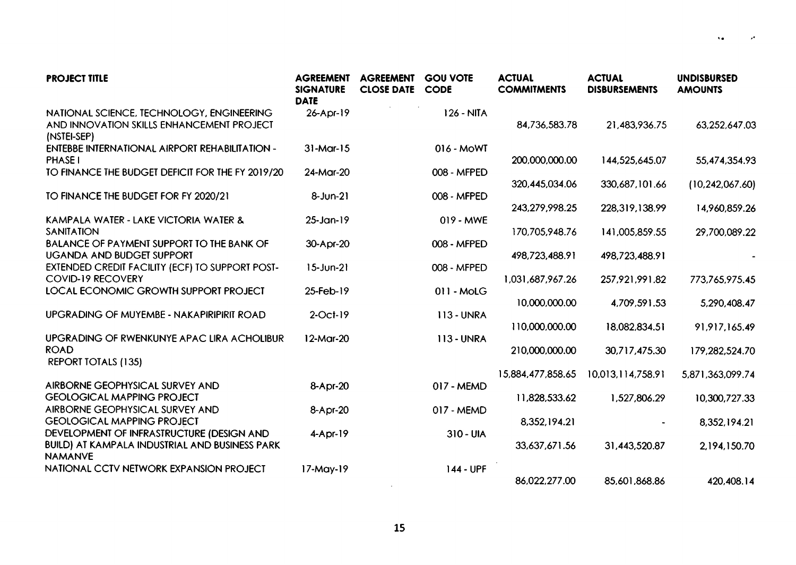| <b>PROJECT TITLE</b>                                                                                                 | <b>AGREEMENT</b><br><b>SIGNATURE</b><br><b>DATE</b> | <b>AGREEMENT</b><br><b>CLOSE DATE</b> | <b>GOU VOTE</b><br><b>CODE</b> | <b>ACTUAL</b><br><b>COMMITMENTS</b> | <b>ACTUAL</b><br><b>DISBURSEMENTS</b> | <b>UNDISBURSED</b><br><b>AMOUNTS</b> |
|----------------------------------------------------------------------------------------------------------------------|-----------------------------------------------------|---------------------------------------|--------------------------------|-------------------------------------|---------------------------------------|--------------------------------------|
| NATIONAL SCIENCE, TECHNOLOGY, ENGINEERING<br>AND INNOVATION SKILLS ENHANCEMENT PROJECT<br>(NSTEI-SEP)                | 26-Apr-19                                           |                                       | 126 - NITA                     | 84,736,583.78                       | 21,483,936.75                         | 63,252,647.03                        |
| ENTEBBE INTERNATIONAL AIRPORT REHABILITATION -<br>PHASE I                                                            | $31-Mar-15$                                         |                                       | 016 - MoWT                     | 200,000,000.00                      | 144,525,645.07                        | 55,474,354.93                        |
| TO FINANCE THE BUDGET DEFICIT FOR THE FY 2019/20                                                                     | 24-Mar-20                                           |                                       | 008 - MFPED                    | 320,445,034.06                      | 330,687,101.66                        | (10, 242, 067.60)                    |
| TO FINANCE THE BUDGET FOR FY 2020/21                                                                                 | 8-Jun-21                                            |                                       | 008 - MFPED                    |                                     |                                       |                                      |
| KAMPALA WATER - LAKE VICTORIA WATER &                                                                                | $25 - Jan - 19$                                     |                                       | $019 - MWE$                    | 243,279,998.25                      | 228,319,138.99                        | 14,960,859.26                        |
| SANITATION<br>BALANCE OF PAYMENT SUPPORT TO THE BANK OF                                                              | 30-Apr-20                                           |                                       | 008 - MFPED                    | 170,705,948.76                      | 141,005,859.55                        | 29,700,089.22                        |
| <b>UGANDA AND BUDGET SUPPORT</b><br>EXTENDED CREDIT FACILITY (ECF) TO SUPPORT POST-                                  | $15 - Jun-21$                                       |                                       | 008 - MFPED                    | 498,723,488.91                      | 498,723,488.91                        |                                      |
| <b>COVID-19 RECOVERY</b>                                                                                             |                                                     |                                       |                                | 1,031,687,967.26                    | 257,921,991.82                        | 773,765,975.45                       |
| LOCAL ECONOMIC GROWTH SUPPORT PROJECT                                                                                | 25-Feb-19                                           |                                       | 011 - MoLG                     | 10,000,000.00                       | 4,709,591.53                          | 5,290,408.47                         |
| UPGRADING OF MUYEMBE - NAKAPIRIPIRIT ROAD                                                                            | $2$ -Oct-19                                         |                                       | <b>113 - UNRA</b>              | 110,000,000.00                      | 18,082,834.51                         | 91,917,165.49                        |
| UPGRADING OF RWENKUNYE APAC LIRA ACHOLIBUR<br><b>ROAD</b>                                                            | $12-Mar-20$                                         |                                       | <b>113-UNRA</b>                |                                     |                                       |                                      |
| <b>REPORT TOTALS (135)</b>                                                                                           |                                                     |                                       |                                | 210,000,000.00                      | 30,717,475.30                         | 179,282,524.70                       |
| AIRBORNE GEOPHYSICAL SURVEY AND                                                                                      | 8-Apr-20                                            |                                       | 017 - MEMD                     | 15,884,477,858.65                   | 10,013,114,758.91                     | 5,871,363,099.74                     |
| <b>GEOLOGICAL MAPPING PROJECT</b><br>AIRBORNE GEOPHYSICAL SURVEY AND                                                 | 8-Apr-20                                            |                                       | 017 - MEMD                     | 11,828,533.62                       | 1,527,806.29                          | 10,300,727.33                        |
| <b>GEOLOGICAL MAPPING PROJECT</b>                                                                                    |                                                     |                                       |                                | 8,352,194.21                        |                                       | 8,352,194.21                         |
| DEVELOPMENT OF INFRASTRUCTURE (DESIGN AND<br><b>BUILD) AT KAMPALA INDUSTRIAL AND BUSINESS PARK</b><br><b>NAMANVE</b> | $4-Apr-19$                                          |                                       | 310 - UIA                      | 33,637,671.56                       | 31,443,520.87                         | 2,194,150.70                         |
| NATIONAL CCTV NETWORK EXPANSION PROJECT                                                                              | $17-May-19$                                         |                                       | 144 - UPF                      | 86,022,277.00                       | 85,601,868.86                         | 420,408.14                           |